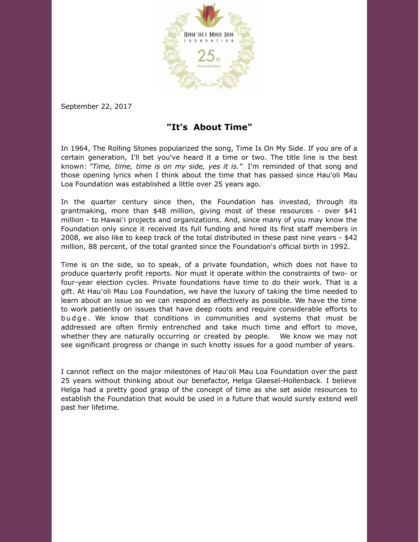

September 22, 2017

## **"It's About Time"**

In 1964, The Rolling Stones popularized the song, Time Is On My Side. If you are of a certain generation, I'll bet you've heard it a time or two. The title line is the best known: *"Time, time, time is on my side, yes it is."* I'm reminded of that song and those opening lyrics when I think about the time that has passed since Hau'oli Mau Loa Foundation was established a little over 25 years ago.

In the quarter century since then, the Foundation has invested, through its grantmaking, more than \$48 million, giving most of these resources - over \$41 million - to Hawaiʻi projects and organizations. And, since many of you may know the Foundation only since it received its full funding and hired its first staff members in 2008, we also like to keep track of the total distributed in these past nine years - \$42 million, 88 percent, of the total granted since the Foundation's official birth in 1992.

Time is on the side, so to speak, of a private foundation, which does not have to produce quarterly profit reports. Nor must it operate within the constraints of two- or four-year election cycles. Private foundations have time to do their work. That is a gift. At Hauʻoli Mau Loa Foundation, we have the luxury of taking the time needed to learn about an issue so we can respond as effectively as possible. We have the time to work patiently on issues that have deep roots and require considerable efforts to budge. We know that conditions in communities and systems that must be addressed are often firmly entrenched and take much time and effort to move, whether they are naturally occurring or created by people. We know we may not see significant progress or change in such knotty issues for a good number of years.

I cannot reflect on the major milestones of Hauʻoli Mau Loa Foundation over the past 25 years without thinking about our benefactor, Helga Glaesel-Hollenback. I believe Helga had a pretty good grasp of the concept of time as she set aside resources to establish the Foundation that would be used in a future that would surely extend well past her lifetime.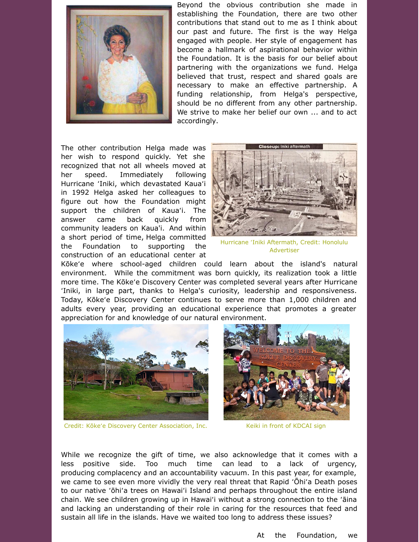

Beyond the obvious contribution she made in establishing the Foundation, there are two other contributions that stand out to me as I think about our past and future. The first is the way Helga engaged with people. Her style of engagement has become a hallmark of aspirational behavior within the Foundation. It is the basis for our belief about partnering with the organizations we fund. Helga believed that trust, respect and shared goals are necessary to make an effective partnership. A funding relationship, from Helga's perspective, should be no different from any other partnership. We strive to make her belief our own ... and to act accordingly.

The other contribution Helga made was her wish to respond quickly. Yet she recognized that not all wheels moved at her speed. Immediately following Hurricane ʻIniki, which devastated Kauaʻi in 1992 Helga asked her colleagues to figure out how the Foundation might support the children of Kauaʻi. The answer came back quickly from community leaders on Kaua'i. And within a short period of time, Helga committed the Foundation to supporting the construction of an educational center at



Hurricane ʻIniki Aftermath, Credit: Honolulu Advertiser

Kōkeʻe where school-aged children could learn about the island's natural environment. While the commitment was born quickly, its realization took a little more time. The Kōkeʻe Discovery Center was completed several years after Hurricane ʻIniki, in large part, thanks to Helga's curiosity, leadership and responsiveness. Today, Kōkeʻe Discovery Center continues to serve more than 1,000 children and adults every year, providing an educational experience that promotes a greater appreciation for and knowledge of our natural environment.



Credit: Kōkeʻe Discovery Center Association, Inc.



Keiki in front of KDCAI sign

While we recognize the gift of time, we also acknowledge that it comes with a less positive side. Too much time can lead to a lack of urgency, producing complacency and an accountability vacuum. In this past year, for example, we came to see even more vividly the very real threat that Rapid ʻŌhiʻa Death poses to our native ʻōhiʻa trees on Hawaiʻi Island and perhaps throughout the entire island chain. We see children growing up in Hawaiʻi without a strong connection to the ʻāina and lacking an understanding of their role in caring for the resources that feed and sustain all life in the islands. Have we waited too long to address these issues?

At the Foundation, we